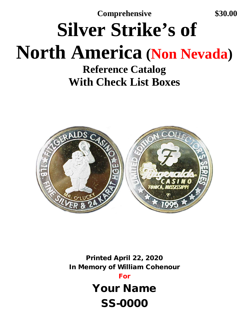**Comprehensive \$30.00**

## **Silver Strike's of North America (Non Nevada)**

**Reference Catalog With Check List Boxes**



Printed April 22, 2020 In Memory of William Cohenour

For

Your Name SS-0000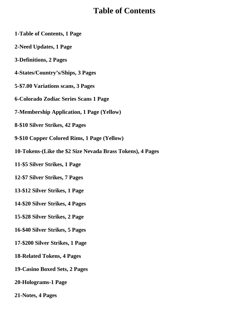## **Table of Contents**

- **1-Table of Contents, 1 Page**
- **2-Need Updates, 1 Page**
- **3-Definitions, 2 Pages**
- **4-States/Country's/Ships, 3 Pages**
- **5-\$7.00 Variations scans, 3 Pages**
- **6-Colorado Zodiac Series Scans 1 Page**
- **7-Membership Application, 1 Page (Yellow)**
- **8-\$10 Silver Strikes, 42 Pages**
- **9-\$10 Copper Colored Rims, 1 Page (Yellow)**
- **10-Tokens-(Like the \$2 Size Nevada Brass Tokens), 4 Pages**
- **11-\$5 Silver Strikes, 1 Page**
- **12-\$7 Silver Strikes, 7 Pages**
- **13-\$12 Silver Strikes, 1 Page**
- **14-\$20 Silver Strikes, 4 Pages**
- **15-\$28 Silver Strikes, 2 Page**
- **16-\$40 Silver Strikes, 5 Pages**
- **17-\$200 Silver Strikes, 1 Page**
- **18-Related Tokens, 4 Pages**
- **19-Casino Boxed Sets, 2 Pages**
- **20-Holograms-1 Page**
- **21-Notes, 4 Pages**